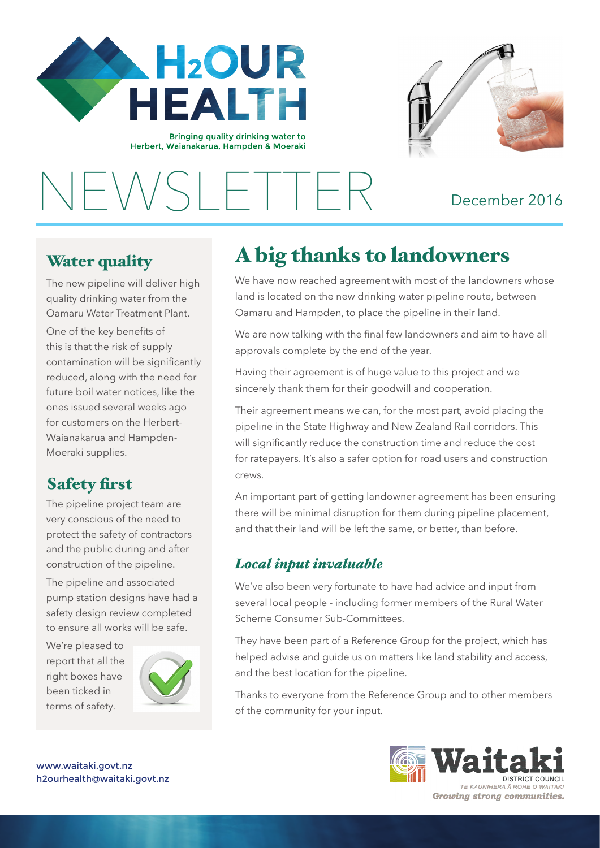

Bringing quality drinking water to Herbert, Waianakarua, Hampden & Moeraki



NEWSLETTER December 2016

## Water quality

 $\frac{1}{1}$ 

The new pipeline will deliver high quality drinking water from the Oamaru Water Treatment Plant.

One of the key benefits of this is that the risk of supply contamination will be significantly reduced, along with the need for future boil water notices, like the ones issued several weeks ago for customers on the Herbert-Waianakarua and Hampden-Moeraki supplies.

# Safety first

The pipeline project team are very conscious of the need to protect the safety of contractors and the public during and after construction of the pipeline.

The pipeline and associated pump station designs have had a safety design review completed to ensure all works will be safe.

We're pleased to report that all the right boxes have been ticked in terms of safety.



# A big thanks to landowners

We have now reached agreement with most of the landowners whose land is located on the new drinking water pipeline route, between Oamaru and Hampden, to place the pipeline in their land.

We are now talking with the final few landowners and aim to have all approvals complete by the end of the year.

Having their agreement is of huge value to this project and we sincerely thank them for their goodwill and cooperation.

Their agreement means we can, for the most part, avoid placing the pipeline in the State Highway and New Zealand Rail corridors. This will significantly reduce the construction time and reduce the cost for ratepayers. It's also a safer option for road users and construction crews.

An important part of getting landowner agreement has been ensuring there will be minimal disruption for them during pipeline placement, and that their land will be left the same, or better, than before.

### *Local input invaluable*

We've also been very fortunate to have had advice and input from several local people - including former members of the Rural Water Scheme Consumer Sub-Committees.

They have been part of a Reference Group for the project, which has helped advise and quide us on matters like land stability and access, and the best location for the pipeline.

Thanks to everyone from the Reference Group and to other members of the community for your input.





www.waitaki.govt.nz h2ourhealth@waitaki.govt.nz